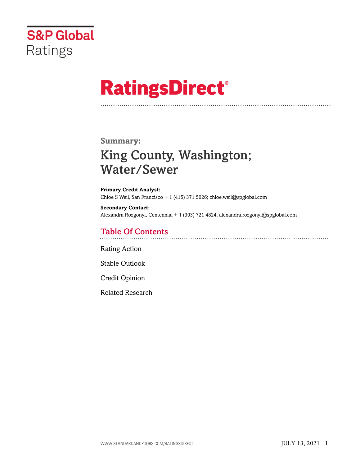

# **RatingsDirect®**

### **Summary:**

## King County, Washington; Water/Sewer

**Primary Credit Analyst:** Chloe S Weil, San Francisco + 1 (415) 371 5026; chloe.weil@spglobal.com

**Secondary Contact:** Alexandra Rozgonyi, Centennial + 1 (303) 721 4824; alexandra.rozgonyi@spglobal.com

## Table Of Contents

[Rating Action](#page-1-0)

[Stable Outlook](#page-4-0)

[Credit Opinion](#page-4-1)

[Related Research](#page-5-0)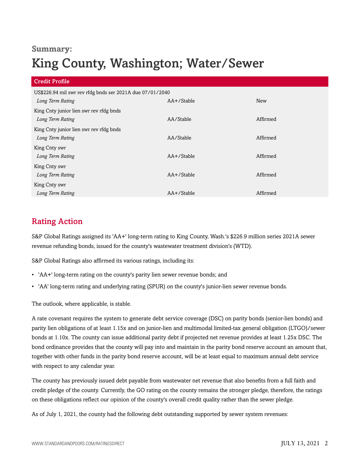## **Summary:**

## King County, Washington; Water/Sewer

| <b>Credit Profile</b>                                     |            |            |
|-----------------------------------------------------------|------------|------------|
| US\$226.94 mil swr rev rfdg bnds ser 2021A due 07/01/2040 |            |            |
| Long Term Rating                                          | AA+/Stable | <b>New</b> |
| King Cnty junior lien swr rev rfdg bnds                   |            |            |
| Long Term Rating                                          | AA/Stable  | Affirmed   |
| King Cnty junior lien swr rev rfdg bnds                   |            |            |
| Long Term Rating                                          | AA/Stable  | Affirmed   |
| King Cnty swr                                             |            |            |
| Long Term Rating                                          | AA+/Stable | Affirmed   |
| King Cnty swr                                             |            |            |
| Long Term Rating                                          | AA+/Stable | Affirmed   |
| King Cnty swr                                             |            |            |
| Long Term Rating                                          | AA+/Stable | Affirmed   |

## <span id="page-1-0"></span>Rating Action

S&P Global Ratings assigned its 'AA+' long-term rating to King County, Wash.'s \$226.9 million series 2021A sewer revenue refunding bonds, issued for the county's wastewater treatment division's (WTD).

S&P Global Ratings also affirmed its various ratings, including its:

- 'AA+' long-term rating on the county's parity lien sewer revenue bonds; and
- 'AA' long-term rating and underlying rating (SPUR) on the county's junior-lien sewer revenue bonds.

The outlook, where applicable, is stable.

A rate covenant requires the system to generate debt service coverage (DSC) on parity bonds (senior-lien bonds) and parity lien obligations of at least 1.15x and on junior-lien and multimodal limited-tax general obligation (LTGO)/sewer bonds at 1.10x. The county can issue additional parity debt if projected net revenue provides at least 1.25x DSC. The bond ordinance provides that the county will pay into and maintain in the parity bond reserve account an amount that, together with other funds in the parity bond reserve account, will be at least equal to maximum annual debt service with respect to any calendar year.

The county has previously issued debt payable from wastewater net revenue that also benefits from a full faith and credit pledge of the county. Currently, the GO rating on the county remains the stronger pledge, therefore, the ratings on these obligations reflect our opinion of the county's overall credit quality rather than the sewer pledge.

As of July 1, 2021, the county had the following debt outstanding supported by sewer system revenues: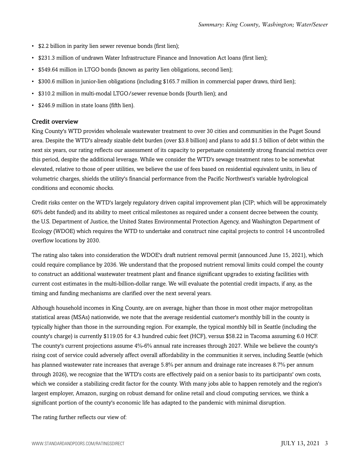- \$2.2 billion in parity lien sewer revenue bonds (first lien);
- \$231.3 million of undrawn Water Infrastructure Finance and Innovation Act loans (first lien);
- \$549.64 million in LTGO bonds (known as parity lien obligations, second lien);
- \$300.6 million in junior-lien obligations (including \$165.7 million in commercial paper draws, third lien);
- \$310.2 million in multi-modal LTGO/sewer revenue bonds (fourth lien); and
- \$246.9 million in state loans (fifth lien).

#### Credit overview

King County's WTD provides wholesale wastewater treatment to over 30 cities and communities in the Puget Sound area. Despite the WTD's already sizable debt burden (over \$3.8 billion) and plans to add \$1.5 billion of debt within the next six years, our rating reflects our assessment of its capacity to perpetuate consistently strong financial metrics over this period, despite the additional leverage. While we consider the WTD's sewage treatment rates to be somewhat elevated, relative to those of peer utilities, we believe the use of fees based on residential equivalent units, in lieu of volumetric charges, shields the utility's financial performance from the Pacific Northwest's variable hydrological conditions and economic shocks.

Credit risks center on the WTD's largely regulatory driven capital improvement plan (CIP; which will be approximately 60% debt funded) and its ability to meet critical milestones as required under a consent decree between the county, the U.S. Department of Justice, the United States Environmental Protection Agency, and Washington Department of Ecology (WDOE) which requires the WTD to undertake and construct nine capital projects to control 14 uncontrolled overflow locations by 2030.

The rating also takes into consideration the WDOE's draft nutrient removal permit (announced June 15, 2021), which could require compliance by 2036. We understand that the proposed nutrient removal limits could compel the county to construct an additional wastewater treatment plant and finance significant upgrades to existing facilities with current cost estimates in the multi-billion-dollar range. We will evaluate the potential credit impacts, if any, as the timing and funding mechanisms are clarified over the next several years.

Although household incomes in King County, are on average, higher than those in most other major metropolitan statistical areas (MSAs) nationwide, we note that the average residential customer's monthly bill in the county is typically higher than those in the surrounding region. For example, the typical monthly bill in Seattle (including the county's charge) is currently \$119.05 for 4.3 hundred cubic feet (HCF), versus \$58.22 in Tacoma assuming 6.0 HCF. The county's current projections assume 4%-6% annual rate increases through 2027. While we believe the county's rising cost of service could adversely affect overall affordability in the communities it serves, including Seattle (which has planned wastewater rate increases that average 5.8% per annum and drainage rate increases 8.7% per annum through 2026), we recognize that the WTD's costs are effectively paid on a senior basis to its participants' own costs, which we consider a stabilizing credit factor for the county. With many jobs able to happen remotely and the region's largest employer, Amazon, surging on robust demand for online retail and cloud computing services, we think a significant portion of the county's economic life has adapted to the pandemic with minimal disruption.

The rating further reflects our view of: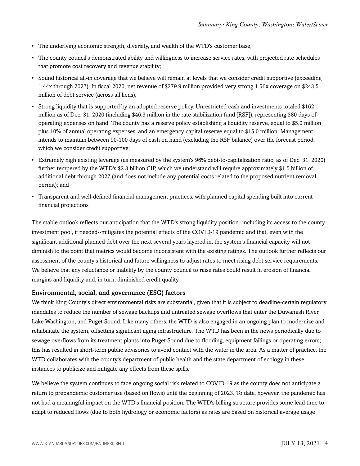- The underlying economic strength, diversity, and wealth of the WTD's customer base;
- The county council's demonstrated ability and willingness to increase service rates, with projected rate schedules that promote cost recovery and revenue stability;
- Sound historical all-in coverage that we believe will remain at levels that we consider credit supportive (exceeding 1.44x through 2027). In fiscal 2020, net revenue of \$379.9 million provided very strong 1.56x coverage on \$243.5 million of debt service (across all liens);
- Strong liquidity that is supported by an adopted reserve policy. Unrestricted cash and investments totaled \$162 million as of Dec. 31, 2020 (including \$46.3 million in the rate stabilization fund [RSF]), representing 380 days of operating expenses on hand. The county has a reserve policy establishing a liquidity reserve, equal to \$5.0 million plus 10% of annual operating expenses, and an emergency capital reserve equal to \$15.0 million. Management intends to maintain between 90-100 days of cash on hand (excluding the RSF balance) over the forecast period, which we consider credit supportive;
- Extremely high existing leverage (as measured by the system's 96% debt-to-capitalization ratio, as of Dec. 31, 2020) further tempered by the WTD's \$2.3 billion CIP, which we understand will require approximately \$1.5 billion of additional debt through 2027 (and does not include any potential costs related to the proposed nutrient removal permit); and
- Transparent and well-defined financial management practices, with planned capital spending built into current financial projections.

The stable outlook reflects our anticipation that the WTD's strong liquidity position--including its access to the county investment pool, if needed--mitigates the potential effects of the COVID-19 pandemic and that, even with the significant additional planned debt over the next several years layered in, the system's financial capacity will not diminish to the point that metrics would become inconsistent with the existing ratings. The outlook further reflects our assessment of the county's historical and future willingness to adjust rates to meet rising debt service requirements. We believe that any reluctance or inability by the county council to raise rates could result in erosion of financial margins and liquidity and, in turn, diminished credit quality.

#### Environmental, social, and governance (ESG) factors

We think King County's direct environmental risks are substantial, given that it is subject to deadline-certain regulatory mandates to reduce the number of sewage backups and untreated sewage overflows that enter the Duwamish River, Lake Washington, and Puget Sound. Like many others, the WTD is also engaged in an ongoing plan to modernize and rehabilitate the system, offsetting significant aging infrastructure. The WTD has been in the news periodically due to sewage overflows from its treatment plants into Puget Sound due to flooding, equipment failings or operating errors; this has resulted in short-term public advisories to avoid contact with the water in the area. As a matter of practice, the WTD collaborates with the county's department of public health and the state department of ecology in these instances to publicize and mitigate any effects from these spills.

We believe the system continues to face ongoing social risk related to COVID-19 as the county does not anticipate a return to prepandemic customer use (based on flows) until the beginning of 2023. To date, however, the pandemic has not had a meaningful impact on the WTD's financial position. The WTD's billing structure provides some lead time to adapt to reduced flows (due to both hydrology or economic factors) as rates are based on historical average usage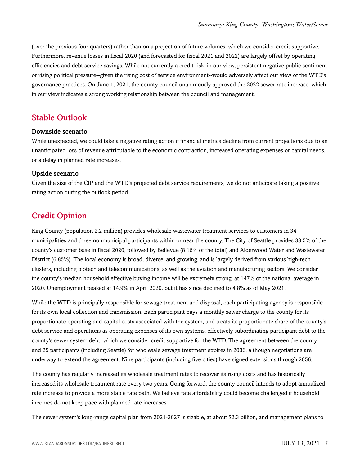(over the previous four quarters) rather than on a projection of future volumes, which we consider credit supportive. Furthermore, revenue losses in fiscal 2020 (and forecasted for fiscal 2021 and 2022) are largely offset by operating efficiencies and debt service savings. While not currently a credit risk, in our view, persistent negative public sentiment or rising political pressure--given the rising cost of service environment--would adversely affect our view of the WTD's governance practices. On June 1, 2021, the county council unanimously approved the 2022 sewer rate increase, which in our view indicates a strong working relationship between the council and management.

### <span id="page-4-0"></span>Stable Outlook

#### Downside scenario

While unexpected, we could take a negative rating action if financial metrics decline from current projections due to an unanticipated loss of revenue attributable to the economic contraction, increased operating expenses or capital needs, or a delay in planned rate increases.

#### Upside scenario

Given the size of the CIP and the WTD's projected debt service requirements, we do not anticipate taking a positive rating action during the outlook period.

## <span id="page-4-1"></span>Credit Opinion

King County (population 2.2 million) provides wholesale wastewater treatment services to customers in 34 municipalities and three nonmunicipal participants within or near the county. The City of Seattle provides 38.5% of the county's customer base in fiscal 2020, followed by Bellevue (8.16% of the total) and Alderwood Water and Wastewater District (6.85%). The local economy is broad, diverse, and growing, and is largely derived from various high-tech clusters, including biotech and telecommunications, as well as the aviation and manufacturing sectors. We consider the county's median household effective buying income will be extremely strong, at 147% of the national average in 2020. Unemployment peaked at 14.9% in April 2020, but it has since declined to 4.8% as of May 2021.

While the WTD is principally responsible for sewage treatment and disposal, each participating agency is responsible for its own local collection and transmission. Each participant pays a monthly sewer charge to the county for its proportionate operating and capital costs associated with the system, and treats its proportionate share of the county's debt service and operations as operating expenses of its own systems, effectively subordinating participant debt to the county's sewer system debt, which we consider credit supportive for the WTD. The agreement between the county and 25 participants (including Seattle) for wholesale sewage treatment expires in 2036, although negotiations are underway to extend the agreement. Nine participants (including five cities) have signed extensions through 2056.

The county has regularly increased its wholesale treatment rates to recover its rising costs and has historically increased its wholesale treatment rate every two years. Going forward, the county council intends to adopt annualized rate increase to provide a more stable rate path. We believe rate affordability could become challenged if household incomes do not keep pace with planned rate increases.

The sewer system's long-range capital plan from 2021-2027 is sizable, at about \$2.3 billion, and management plans to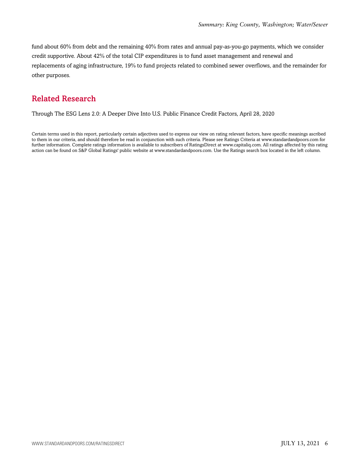fund about 60% from debt and the remaining 40% from rates and annual pay-as-you-go payments, which we consider credit supportive. About 42% of the total CIP expenditures is to fund asset management and renewal and replacements of aging infrastructure, 19% to fund projects related to combined sewer overflows, and the remainder for other purposes.

## <span id="page-5-0"></span>Related Research

Through The ESG Lens 2.0: A Deeper Dive Into U.S. Public Finance Credit Factors, April 28, 2020

Certain terms used in this report, particularly certain adjectives used to express our view on rating relevant factors, have specific meanings ascribed to them in our criteria, and should therefore be read in conjunction with such criteria. Please see Ratings Criteria at www.standardandpoors.com for further information. Complete ratings information is available to subscribers of RatingsDirect at www.capitaliq.com. All ratings affected by this rating action can be found on S&P Global Ratings' public website at www.standardandpoors.com. Use the Ratings search box located in the left column.